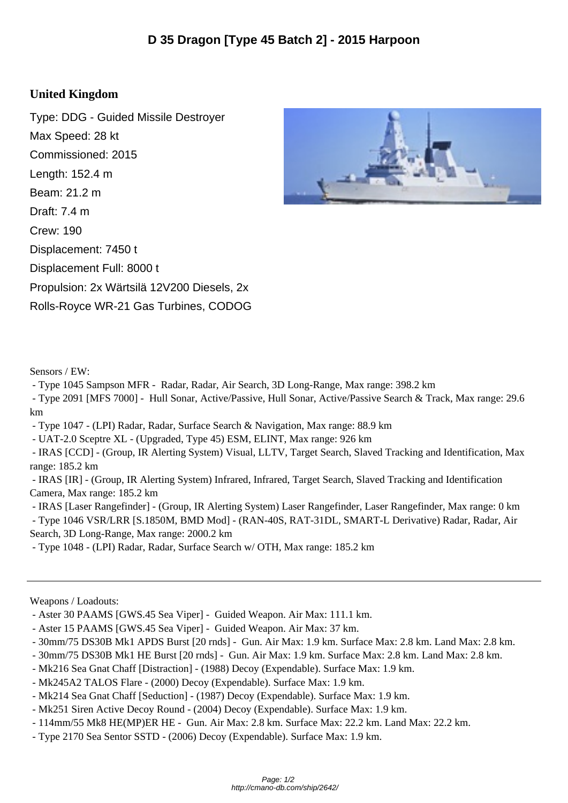## **United Kingdom**

Type: DDG - Guided Missile Destroyer Max Speed: 28 kt Commissioned: 2015 Length: 152.4 m Beam: 21.2 m Draft: 7.4 m Crew: 190 Displacement: 7450 t Displacement Full: 8000 t Propulsion: 2x Wärtsilä 12V200 Diesels, 2x Rolls-Royce WR-21 Gas Turbines, CODOG



Sensors / EW:

- Type 1045 Sampson MFR - Radar, Radar, Air Search, 3D Long-Range, Max range: 398.2 km

 - Type 2091 [MFS 7000] - Hull Sonar, Active/Passive, Hull Sonar, Active/Passive Search & Track, Max range: 29.6 km

- Type 1047 - (LPI) Radar, Radar, Surface Search & Navigation, Max range: 88.9 km

- UAT-2.0 Sceptre XL - (Upgraded, Type 45) ESM, ELINT, Max range: 926 km

 - IRAS [CCD] - (Group, IR Alerting System) Visual, LLTV, Target Search, Slaved Tracking and Identification, Max range: 185.2 km

 - IRAS [IR] - (Group, IR Alerting System) Infrared, Infrared, Target Search, Slaved Tracking and Identification Camera, Max range: 185.2 km

- IRAS [Laser Rangefinder] - (Group, IR Alerting System) Laser Rangefinder, Laser Rangefinder, Max range: 0 km

 - Type 1046 VSR/LRR [S.1850M, BMD Mod] - (RAN-40S, RAT-31DL, SMART-L Derivative) Radar, Radar, Air Search, 3D Long-Range, Max range: 2000.2 km

- Type 1048 - (LPI) Radar, Radar, Surface Search w/ OTH, Max range: 185.2 km

Weapons / Loadouts:

- Aster 30 PAAMS [GWS.45 Sea Viper] - Guided Weapon. Air Max: 111.1 km.

- Aster 15 PAAMS [GWS.45 Sea Viper] Guided Weapon. Air Max: 37 km.
- 30mm/75 DS30B Mk1 APDS Burst [20 rnds] Gun. Air Max: 1.9 km. Surface Max: 2.8 km. Land Max: 2.8 km.
- 30mm/75 DS30B Mk1 HE Burst [20 rnds] Gun. Air Max: 1.9 km. Surface Max: 2.8 km. Land Max: 2.8 km.
- Mk216 Sea Gnat Chaff [Distraction] (1988) Decoy (Expendable). Surface Max: 1.9 km.
- Mk245A2 TALOS Flare (2000) Decoy (Expendable). Surface Max: 1.9 km.
- Mk214 Sea Gnat Chaff [Seduction] (1987) Decoy (Expendable). Surface Max: 1.9 km.
- Mk251 Siren Active Decoy Round (2004) Decoy (Expendable). Surface Max: 1.9 km.
- 114mm/55 Mk8 HE(MP)ER HE Gun. Air Max: 2.8 km. Surface Max: 22.2 km. Land Max: 22.2 km.
- Type 2170 Sea Sentor SSTD (2006) Decoy (Expendable). Surface Max: 1.9 km.